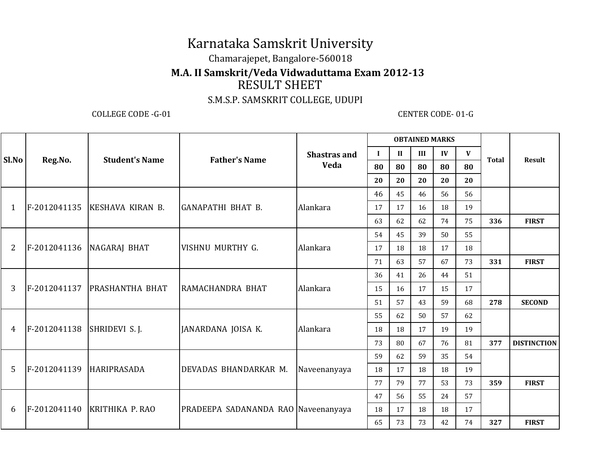# Karnataka Samskrit University

### Chamarajepet, Bangalore-560018

#### **M.A. II Samskrit/Veda Vidwaduttama Exam 2012-13**

## RESULT SHEET

#### S.M.S.P. SAMSKRIT COLLEGE, UDUPI

COLLEGE CODE -G-01 CENTER CODE- 01-G

|                | Reg.No.      | <b>Student's Name</b>        | <b>Father's Name</b>                | <b>Shastras and</b><br>Veda | <b>OBTAINED MARKS</b> |              |     |    |                    |              |                    |
|----------------|--------------|------------------------------|-------------------------------------|-----------------------------|-----------------------|--------------|-----|----|--------------------|--------------|--------------------|
| Sl.No          |              |                              |                                     |                             | $\mathbf I$           | $\mathbf{I}$ | III | IV | $\mathbf{V}$<br>80 | <b>Total</b> | <b>Result</b>      |
|                |              |                              |                                     |                             | 80                    | 80           | 80  | 80 |                    |              |                    |
|                |              |                              |                                     |                             | 20                    | 20           | 20  | 20 | 20                 |              |                    |
|                |              |                              |                                     |                             | 46                    | 45           | 46  | 56 | 56                 |              |                    |
| 1              | F-2012041135 | KESHAVA KIRAN B.             | <b>GANAPATHI BHAT B.</b>            | Alankara                    | 17                    | 17           | 16  | 18 | 19                 |              |                    |
|                |              |                              |                                     |                             | 63                    | 62           | 62  | 74 | 75                 | 336          | <b>FIRST</b>       |
|                |              |                              |                                     |                             | 54                    | 45           | 39  | 50 | 55                 |              |                    |
| $\overline{2}$ |              | F-2012041136 NAGARAJ BHAT    | VISHNU MURTHY G.                    | Alankara                    | 17                    | 18           | 18  | 17 | 18                 |              |                    |
|                |              |                              |                                     |                             | 71                    | 63           | 57  | 67 | 73                 | 331          | <b>FIRST</b>       |
|                |              |                              |                                     |                             | 36                    | 41           | 26  | 44 | 51                 |              |                    |
| 3              |              | F-2012041137 PRASHANTHA BHAT | RAMACHANDRA BHAT                    | Alankara                    | 15                    | 16           | 17  | 15 | 17                 |              |                    |
|                |              |                              |                                     |                             | 51                    | 57           | 43  | 59 | 68                 | 278          | <b>SECOND</b>      |
|                |              |                              |                                     |                             | 55                    | 62           | 50  | 57 | 62                 |              |                    |
| 4              | F-2012041138 | SHRIDEVI S. J.               | JANARDANA JOISA K.                  | Alankara                    | 18                    | 18           | 17  | 19 | 19                 |              |                    |
|                |              |                              |                                     |                             | 73                    | 80           | 67  | 76 | 81                 | 377          | <b>DISTINCTION</b> |
|                |              |                              |                                     |                             | 59                    | 62           | 59  | 35 | 54                 |              |                    |
| 5              | F-2012041139 | <b>HARIPRASADA</b>           | DEVADAS BHANDARKAR M.               | Naveenanyaya                | 18                    | 17           | 18  | 18 | 19                 |              |                    |
|                |              |                              |                                     |                             | 77                    | 79           | 77  | 53 | 73                 | 359          | <b>FIRST</b>       |
|                |              |                              |                                     |                             | 47                    | 56           | 55  | 24 | 57                 |              |                    |
| 6              |              | F-2012041140 KRITHIKA P.RAO  | PRADEEPA SADANANDA RAO Naveenanyaya |                             | 18                    | 17           | 18  | 18 | 17                 |              |                    |
|                |              |                              |                                     |                             | 65                    | 73           | 73  | 42 | 74                 | 327          | <b>FIRST</b>       |